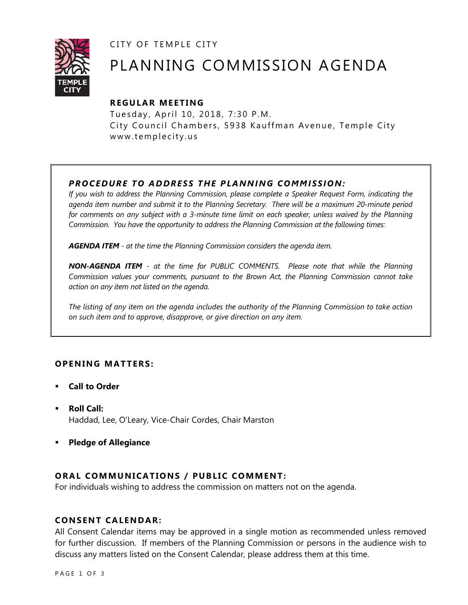CITY OF TEMPLE CITY



# PLANNING COMMISSION AGENDA

# **REGULAR MEETING**

Tuesday, April 10, 2018, 7:30 P.M. City Council Chambers, 5938 Kauffman Avenue, Temple City www.templecity.us

# *PROCEDURE TO ADDRESS THE PLANNING COMMISSION:*

*If you wish to address the Planning Commission, please complete a Speaker Request Form, indicating the agenda item number and submit it to the Planning Secretary. There will be a maximum 20-minute period*  for comments on any subject with a 3-minute time limit on each speaker, unless waived by the Planning *Commission. You have the opportunity to address the Planning Commission at the following times:*

*AGENDA ITEM - at the time the Planning Commission considers the agenda item.*

*NON-AGENDA ITEM - at the time for PUBLIC COMMENTS. Please note that while the Planning Commission values your comments, pursuant to the Brown Act, the Planning Commission cannot take action on any item not listed on the agenda.*

*The listing of any item on the agenda includes the authority of the Planning Commission to take action on such item and to approve, disapprove, or give direction on any item.*

# **OPENING MATTERS:**

- **Call to Order**
- **Roll Call:** Haddad, Lee, O'Leary, Vice-Chair Cordes, Chair Marston
- **Pledge of Allegiance**

# **ORAL COMMUNICATIONS / PUBLIC COMMENT:**

For individuals wishing to address the commission on matters not on the agenda.

#### **CONSENT CALENDAR:**

All Consent Calendar items may be approved in a single motion as recommended unless removed for further discussion. If members of the Planning Commission or persons in the audience wish to discuss any matters listed on the Consent Calendar, please address them at this time.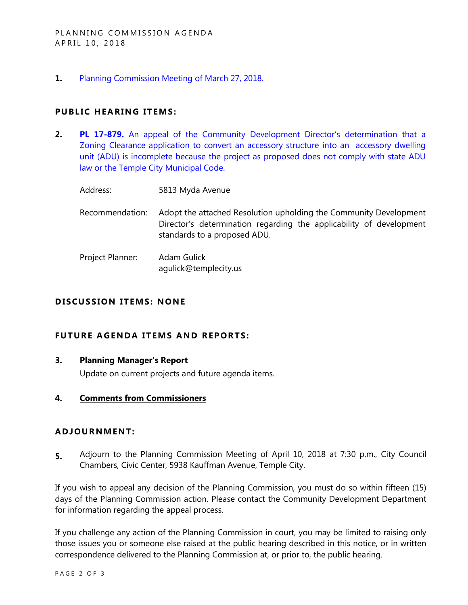**1.** [Planning Commission Meeting of March](https://ca-templecity.civicplus.com/DocumentCenter/View/10163) 27, 2018.

## **PUBLIC HEARING ITEMS:**

- **2. PL 17-879.** [An appeal of the Community Development Director's determination that a](https://ca-templecity.civicplus.com/DocumentCenter/View/10162)  [Zoning Clearance application to convert an accessory structure into an accessory dwelling](https://ca-templecity.civicplus.com/DocumentCenter/View/10162)  [unit \(ADU\) is incomplete because the project as proposed does not comply with state ADU](https://ca-templecity.civicplus.com/DocumentCenter/View/10162)  [law or the Temple City Municipal Code.](https://ca-templecity.civicplus.com/DocumentCenter/View/10162)
	- Address: 5813 Myda Avenue
	- Recommendation: Adopt the attached Resolution upholding the Community Development Director's determination regarding the applicability of development standards to a proposed ADU.
	- Project Planner: Adam Gulick agulick@templecity.us

## **DISCUSSION ITEMS: NONE**

#### **FUTURE AGENDA ITEMS AND REPORTS:**

**3. Planning Manager's Report**

Update on current projects and future agenda items.

**4. Comments from Commissioners**

#### **ADJOURNMENT:**

**5.** Adjourn to the Planning Commission Meeting of April 10, 2018 at 7:30 p.m., City Council Chambers, Civic Center, 5938 Kauffman Avenue, Temple City.

If you wish to appeal any decision of the Planning Commission, you must do so within fifteen (15) days of the Planning Commission action. Please contact the Community Development Department for information regarding the appeal process.

If you challenge any action of the Planning Commission in court, you may be limited to raising only those issues you or someone else raised at the public hearing described in this notice, or in written correspondence delivered to the Planning Commission at, or prior to, the public hearing.